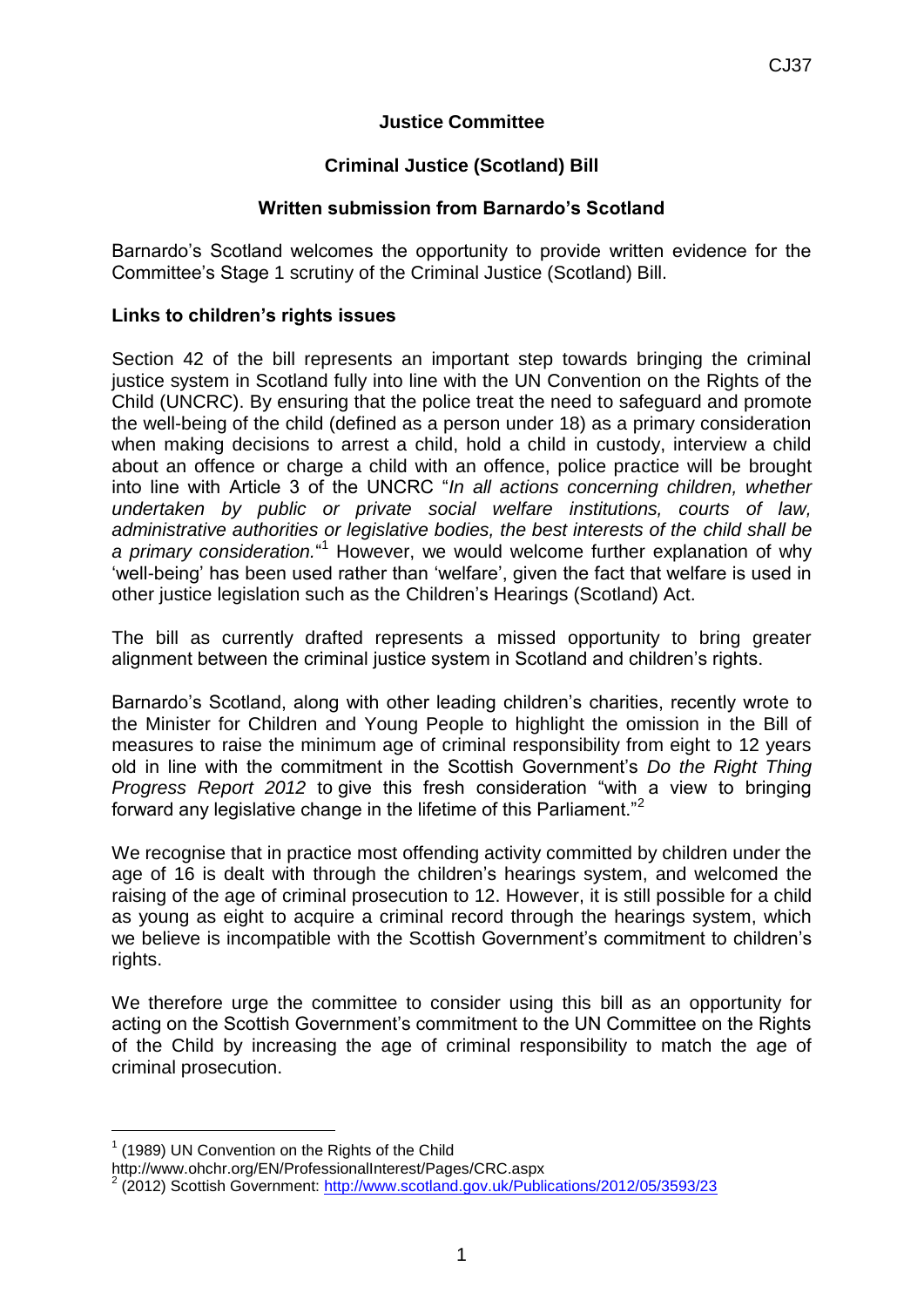# **Justice Committee**

# **Criminal Justice (Scotland) Bill**

## **Written submission from Barnardo's Scotland**

Barnardo's Scotland welcomes the opportunity to provide written evidence for the Committee's Stage 1 scrutiny of the Criminal Justice (Scotland) Bill.

### **Links to children's rights issues**

Section 42 of the bill represents an important step towards bringing the criminal justice system in Scotland fully into line with the UN Convention on the Rights of the Child (UNCRC). By ensuring that the police treat the need to safeguard and promote the well-being of the child (defined as a person under 18) as a primary consideration when making decisions to arrest a child, hold a child in custody, interview a child about an offence or charge a child with an offence, police practice will be brought into line with Article 3 of the UNCRC "*In all actions concerning children, whether undertaken by public or private social welfare institutions, courts of law, administrative authorities or legislative bodies, the best interests of the child shall be a primary consideration.*" <sup>1</sup> However, we would welcome further explanation of why 'well-being' has been used rather than 'welfare', given the fact that welfare is used in other justice legislation such as the Children's Hearings (Scotland) Act.

The bill as currently drafted represents a missed opportunity to bring greater alignment between the criminal justice system in Scotland and children's rights.

Barnardo's Scotland, along with other leading children's charities, recently wrote to the Minister for Children and Young People to highlight the omission in the Bill of measures to raise the minimum age of criminal responsibility from eight to 12 years old in line with the commitment in the Scottish Government's *Do the Right Thing Progress Report 2012* to give this fresh consideration "with a view to bringing forward any legislative change in the lifetime of this Parliament."<sup>2</sup>

We recognise that in practice most offending activity committed by children under the age of 16 is dealt with through the children's hearings system, and welcomed the raising of the age of criminal prosecution to 12. However, it is still possible for a child as young as eight to acquire a criminal record through the hearings system, which we believe is incompatible with the Scottish Government's commitment to children's rights.

We therefore urge the committee to consider using this bill as an opportunity for acting on the Scottish Government's commitment to the UN Committee on the Rights of the Child by increasing the age of criminal responsibility to match the age of criminal prosecution.

<u>.</u>

 $1$  (1989) UN Convention on the Rights of the Child

http://www.ohchr.org/EN/ProfessionalInterest/Pages/CRC.aspx

<sup>2</sup> (2012) Scottish Government:<http://www.scotland.gov.uk/Publications/2012/05/3593/23>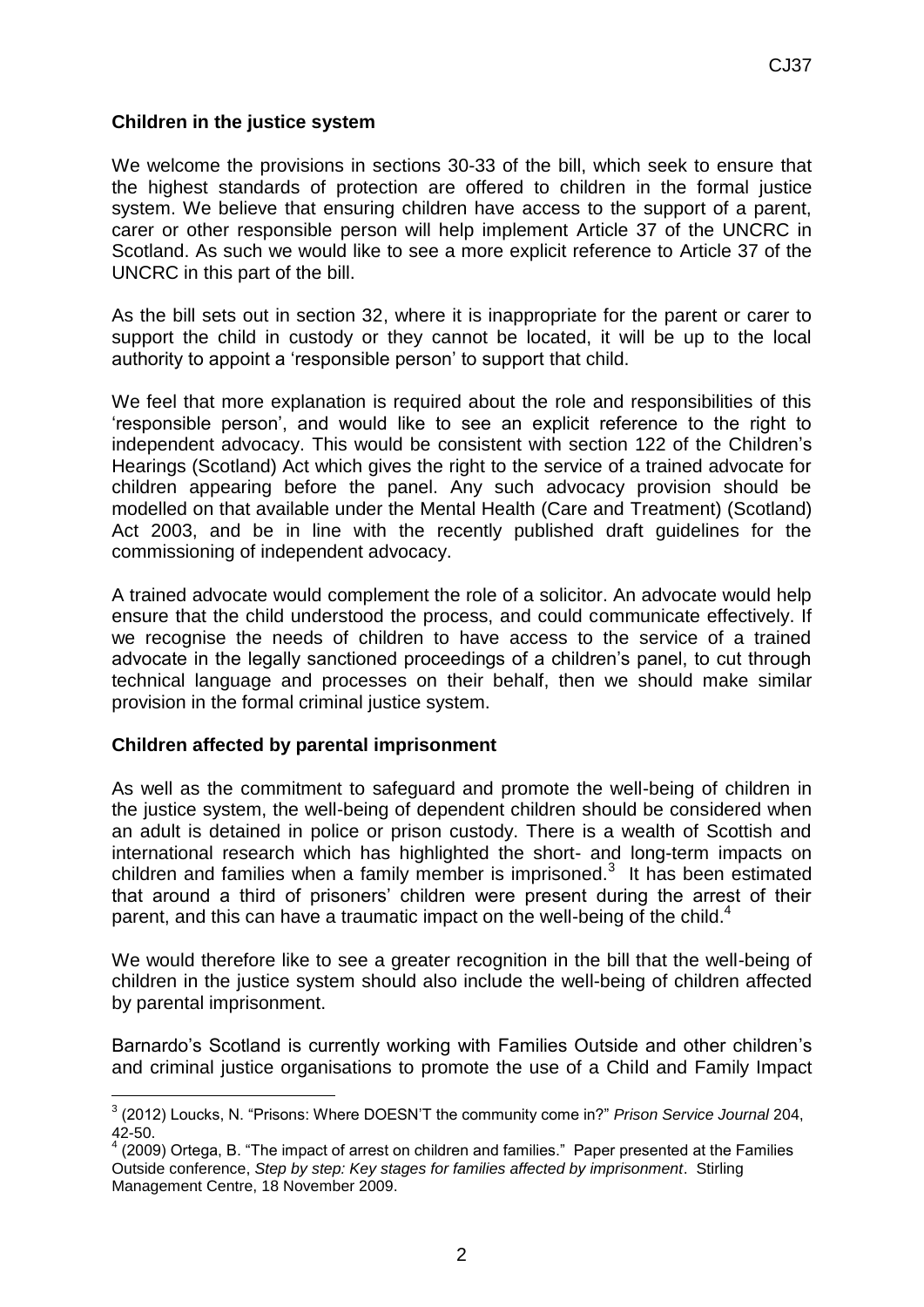## **Children in the justice system**

We welcome the provisions in sections 30-33 of the bill, which seek to ensure that the highest standards of protection are offered to children in the formal justice system. We believe that ensuring children have access to the support of a parent, carer or other responsible person will help implement Article 37 of the UNCRC in Scotland. As such we would like to see a more explicit reference to Article 37 of the UNCRC in this part of the bill.

As the bill sets out in section 32, where it is inappropriate for the parent or carer to support the child in custody or they cannot be located, it will be up to the local authority to appoint a 'responsible person' to support that child.

We feel that more explanation is required about the role and responsibilities of this 'responsible person', and would like to see an explicit reference to the right to independent advocacy. This would be consistent with section 122 of the Children's Hearings (Scotland) Act which gives the right to the service of a trained advocate for children appearing before the panel. Any such advocacy provision should be modelled on that available under the Mental Health (Care and Treatment) (Scotland) Act 2003, and be in line with the recently published draft guidelines for the commissioning of independent advocacy.

A trained advocate would complement the role of a solicitor. An advocate would help ensure that the child understood the process, and could communicate effectively. If we recognise the needs of children to have access to the service of a trained advocate in the legally sanctioned proceedings of a children's panel, to cut through technical language and processes on their behalf, then we should make similar provision in the formal criminal justice system.

### **Children affected by parental imprisonment**

<u>.</u>

As well as the commitment to safeguard and promote the well-being of children in the justice system, the well-being of dependent children should be considered when an adult is detained in police or prison custody. There is a wealth of Scottish and international research which has highlighted the short- and long-term impacts on children and families when a family member is imprisoned. $3$  It has been estimated that around a third of prisoners' children were present during the arrest of their parent, and this can have a traumatic impact on the well-being of the child.<sup>4</sup>

We would therefore like to see a greater recognition in the bill that the well-being of children in the justice system should also include the well-being of children affected by parental imprisonment.

Barnardo's Scotland is currently working with Families Outside and other children's and criminal justice organisations to promote the use of a Child and Family Impact

<sup>3</sup> (2012) Loucks, N. "Prisons: Where DOESN'T the community come in?" *Prison Service Journal* 204, 42-50.

 $4$  (2009) Ortega, B. "The impact of arrest on children and families." Paper presented at the Families Outside conference, *Step by step: Key stages for families affected by imprisonment*. Stirling Management Centre, 18 November 2009.